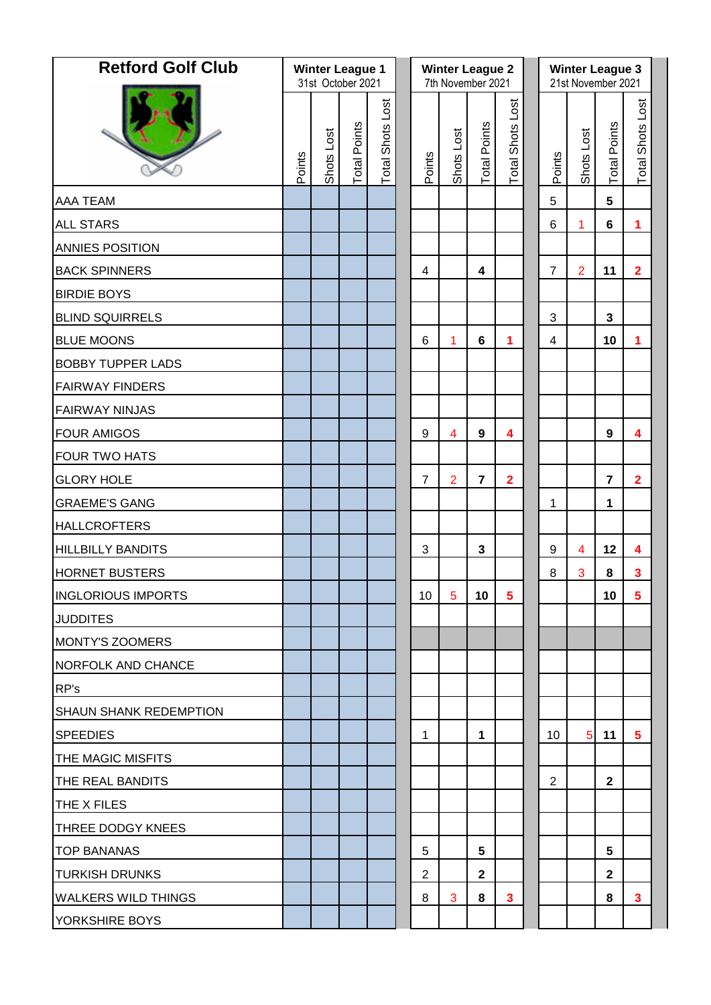| <b>Retford Golf Club</b>   |        | <b>Winter League 1</b><br>31st October 2021 |                     |                         |  |                | <b>Winter League 2</b><br>7th November 2021 |                         |                         | <b>Winter League 3</b><br>21st November 2021 |                |                     |                         |  |
|----------------------------|--------|---------------------------------------------|---------------------|-------------------------|--|----------------|---------------------------------------------|-------------------------|-------------------------|----------------------------------------------|----------------|---------------------|-------------------------|--|
|                            | Points | Shots Lost                                  | <b>Total Points</b> | <b>Total Shots Lost</b> |  | Points         | Shots Lost                                  | <b>Total Points</b>     | <b>Total Shots Lost</b> | Points                                       | Shots Lost     | <b>Total Points</b> | <b>Total Shots Lost</b> |  |
| <b>AAA TEAM</b>            |        |                                             |                     |                         |  |                |                                             |                         |                         | $\overline{5}$                               |                | $5\phantom{.0}$     |                         |  |
| <b>ALL STARS</b>           |        |                                             |                     |                         |  |                |                                             |                         |                         | $\,6\,$                                      | 1              | $6\phantom{a}$      | 1                       |  |
| ANNIES POSITION            |        |                                             |                     |                         |  |                |                                             |                         |                         |                                              |                |                     |                         |  |
| <b>BACK SPINNERS</b>       |        |                                             |                     |                         |  | $\overline{4}$ |                                             | $\overline{\mathbf{4}}$ |                         | $\overline{7}$                               | $\overline{2}$ | 11                  | $\overline{\mathbf{2}}$ |  |
| <b>BIRDIE BOYS</b>         |        |                                             |                     |                         |  |                |                                             |                         |                         |                                              |                |                     |                         |  |
| <b>BLIND SQUIRRELS</b>     |        |                                             |                     |                         |  |                |                                             |                         |                         | 3                                            |                | $\mathbf{3}$        |                         |  |
| <b>BLUE MOONS</b>          |        |                                             |                     |                         |  | $6\phantom{1}$ | 1                                           | $6\phantom{a}$          | 1                       | 4                                            |                | 10                  | 1                       |  |
| <b>BOBBY TUPPER LADS</b>   |        |                                             |                     |                         |  |                |                                             |                         |                         |                                              |                |                     |                         |  |
| <b>FAIRWAY FINDERS</b>     |        |                                             |                     |                         |  |                |                                             |                         |                         |                                              |                |                     |                         |  |
| <b>FAIRWAY NINJAS</b>      |        |                                             |                     |                         |  |                |                                             |                         |                         |                                              |                |                     |                         |  |
| <b>FOUR AMIGOS</b>         |        |                                             |                     |                         |  | 9              | 4                                           | 9                       | 4                       |                                              |                | 9                   | 4                       |  |
| FOUR TWO HATS              |        |                                             |                     |                         |  |                |                                             |                         |                         |                                              |                |                     |                         |  |
| <b>GLORY HOLE</b>          |        |                                             |                     |                         |  | $\overline{7}$ | $\overline{2}$                              | $\overline{7}$          | $\overline{\mathbf{2}}$ |                                              |                | $\overline{7}$      | $\overline{2}$          |  |
| <b>GRAEME'S GANG</b>       |        |                                             |                     |                         |  |                |                                             |                         |                         | 1                                            |                | 1                   |                         |  |
| <b>HALLCROFTERS</b>        |        |                                             |                     |                         |  |                |                                             |                         |                         |                                              |                |                     |                         |  |
| <b>HILLBILLY BANDITS</b>   |        |                                             |                     |                         |  | 3              |                                             | $\mathbf{3}$            |                         | 9                                            | $\overline{4}$ | 12                  | 4                       |  |
| <b>HORNET BUSTERS</b>      |        |                                             |                     |                         |  |                |                                             |                         |                         | 8                                            | 3              | 8                   | 3                       |  |
| <b>INGLORIOUS IMPORTS</b>  |        |                                             |                     |                         |  | 10             | 5                                           | 10 <sub>1</sub>         | 5                       |                                              |                | 10                  | 5                       |  |
| <b>JUDDITES</b>            |        |                                             |                     |                         |  |                |                                             |                         |                         |                                              |                |                     |                         |  |
| <b>MONTY'S ZOOMERS</b>     |        |                                             |                     |                         |  |                |                                             |                         |                         |                                              |                |                     |                         |  |
| <b>NORFOLK AND CHANCE</b>  |        |                                             |                     |                         |  |                |                                             |                         |                         |                                              |                |                     |                         |  |
| RP's                       |        |                                             |                     |                         |  |                |                                             |                         |                         |                                              |                |                     |                         |  |
| SHAUN SHANK REDEMPTION     |        |                                             |                     |                         |  |                |                                             |                         |                         |                                              |                |                     |                         |  |
| <b>SPEEDIES</b>            |        |                                             |                     |                         |  | 1              |                                             | $\mathbf{1}$            |                         | 10                                           | 5              | 11                  | 5                       |  |
| THE MAGIC MISFITS          |        |                                             |                     |                         |  |                |                                             |                         |                         |                                              |                |                     |                         |  |
| THE REAL BANDITS           |        |                                             |                     |                         |  |                |                                             |                         |                         | $\overline{2}$                               |                | $\mathbf{2}$        |                         |  |
| THE X FILES                |        |                                             |                     |                         |  |                |                                             |                         |                         |                                              |                |                     |                         |  |
| THREE DODGY KNEES          |        |                                             |                     |                         |  |                |                                             |                         |                         |                                              |                |                     |                         |  |
| <b>TOP BANANAS</b>         |        |                                             |                     |                         |  | 5              |                                             | $5\phantom{1}$          |                         |                                              |                | 5                   |                         |  |
| <b>TURKISH DRUNKS</b>      |        |                                             |                     |                         |  | $\overline{2}$ |                                             | $\mathbf{2}$            |                         |                                              |                | $\mathbf{2}$        |                         |  |
| <b>WALKERS WILD THINGS</b> |        |                                             |                     |                         |  | 8              | 3                                           | 8                       | 3                       |                                              |                | 8                   | $\mathbf{3}$            |  |
| YORKSHIRE BOYS             |        |                                             |                     |                         |  |                |                                             |                         |                         |                                              |                |                     |                         |  |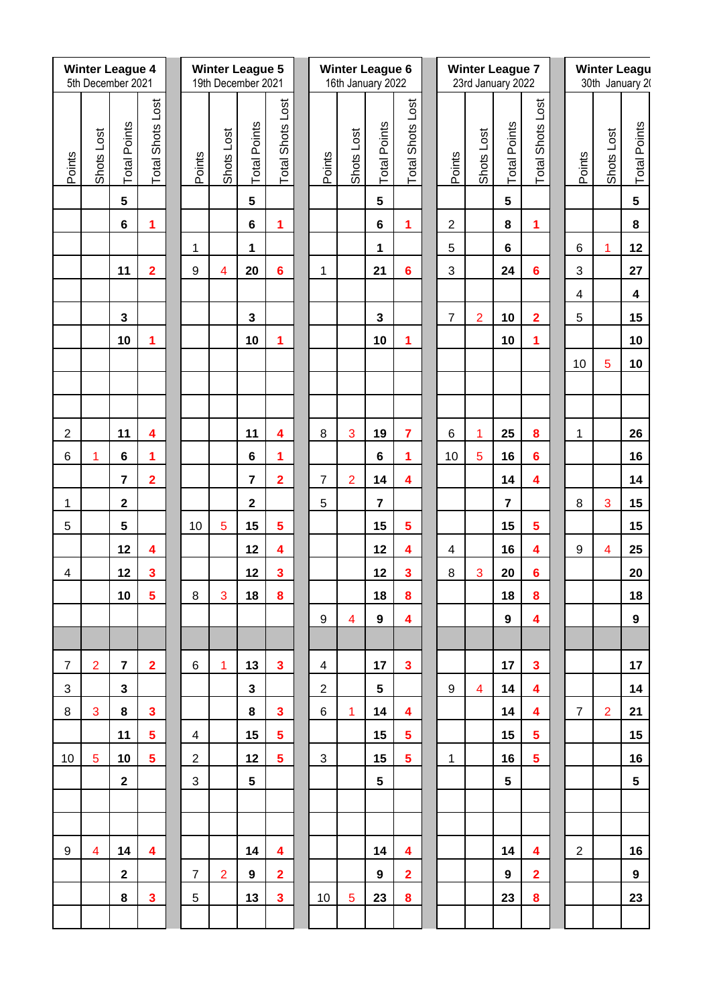|                         | <b>Winter League 4</b><br>5th December 2021 |                     |                         |                | <b>Winter League 5</b><br>19th December 2021 |                         | <b>Winter League 6</b><br>16th January 2022 |                |                |                         |                         | <b>Winter League 7</b><br>23rd January 2022 |                         |                |                     |                         | <b>Winter Leagu</b><br>30th January 20 |                         |                |                     |
|-------------------------|---------------------------------------------|---------------------|-------------------------|----------------|----------------------------------------------|-------------------------|---------------------------------------------|----------------|----------------|-------------------------|-------------------------|---------------------------------------------|-------------------------|----------------|---------------------|-------------------------|----------------------------------------|-------------------------|----------------|---------------------|
|                         |                                             |                     |                         |                |                                              |                         |                                             |                |                |                         |                         |                                             |                         |                |                     |                         |                                        |                         |                |                     |
| Points                  | Shots Lost                                  | <b>Total Points</b> | Total Shots Lost        | Points         | Shots Lost                                   | <b>Total Points</b>     | Total Shots Lost                            | Points         | Shots Lost     | <b>Total Points</b>     | Total Shots Lost        |                                             | Points                  | Shots Lost     | <b>Total Points</b> | <b>Total Shots Lost</b> |                                        | Points                  | Shots Lost     | <b>Total Points</b> |
|                         |                                             |                     |                         |                |                                              |                         |                                             |                |                |                         |                         |                                             |                         |                |                     |                         |                                        |                         |                |                     |
|                         |                                             | 5                   |                         |                |                                              | 5                       |                                             |                |                | 5                       |                         |                                             |                         |                | 5                   |                         |                                        |                         |                | 5                   |
|                         |                                             | $6\phantom{a}$      | $\blacktriangleleft$    |                |                                              | $6\phantom{a}$          | 1                                           |                |                | $6\phantom{a}$          | 1                       |                                             | $\overline{2}$          |                | 8                   | 1                       |                                        |                         |                | 8                   |
|                         |                                             |                     |                         | 1              |                                              | 1                       |                                             |                |                | 1                       |                         |                                             | 5                       |                | $6\phantom{a}$      |                         |                                        | 6                       | 1              | 12                  |
|                         |                                             | 11                  | $\overline{2}$          | $9\,$          | $\overline{4}$                               | 20                      | $6\phantom{a}$                              | 1              |                | 21                      | 6                       |                                             | 3                       |                | 24                  | $6\phantom{a}$          |                                        | 3                       |                | 27                  |
|                         |                                             |                     |                         |                |                                              |                         |                                             |                |                |                         |                         |                                             |                         |                |                     |                         |                                        | $\overline{\mathbf{4}}$ |                | 4                   |
|                         |                                             | 3                   |                         |                |                                              | 3                       |                                             |                |                | 3                       |                         |                                             | $\overline{7}$          | $\overline{2}$ | 10                  | $\overline{2}$          |                                        | 5                       |                | 15                  |
|                         |                                             | 10                  | 1                       |                |                                              | 10                      | 1                                           |                |                | 10                      | 1                       |                                             |                         |                | 10                  | 1                       |                                        | 10                      | 5              | 10<br>10            |
|                         |                                             |                     |                         |                |                                              |                         |                                             |                |                |                         |                         |                                             |                         |                |                     |                         |                                        |                         |                |                     |
|                         |                                             |                     |                         |                |                                              |                         |                                             |                |                |                         |                         |                                             |                         |                |                     |                         |                                        |                         |                |                     |
| $\overline{c}$          |                                             | 11                  | 4                       |                |                                              | 11                      | 4                                           | 8              | 3              | 19                      | $\overline{7}$          |                                             | $6\phantom{1}6$         | 1              | 25                  | 8                       |                                        | $\mathbf 1$             |                | 26                  |
| $\,6\,$                 | 1                                           | $\bf 6$             | 1                       |                |                                              | $6\phantom{a}$          | 1                                           |                |                | $6\phantom{a}$          | 1                       |                                             | 10                      | $\overline{5}$ | 16                  | $6\phantom{a}$          |                                        |                         |                | 16                  |
|                         |                                             | $\overline{7}$      | $\overline{2}$          |                |                                              | $\overline{7}$          | $\overline{\mathbf{2}}$                     | $\overline{7}$ | $\overline{2}$ | 14                      | 4                       |                                             |                         |                | 14                  | 4                       |                                        |                         |                | 14                  |
| $\mathbf 1$             |                                             | $\mathbf{2}$        |                         |                |                                              | $\overline{\mathbf{2}}$ |                                             | 5              |                | $\overline{\mathbf{7}}$ |                         |                                             |                         |                | $\overline{7}$      |                         |                                        | $\,8\,$                 | 3              | 15                  |
| 5                       |                                             | 5                   |                         | 10             | $\overline{5}$                               | 15                      | 5                                           |                |                | 15                      | 5                       |                                             |                         |                | 15                  | $\overline{\mathbf{5}}$ |                                        |                         |                | 15                  |
|                         |                                             | 12                  | 4                       |                |                                              | 12                      | 4                                           |                |                | 12                      | 4                       |                                             | $\overline{\mathbf{4}}$ |                | 16                  | 4                       |                                        | $\boldsymbol{9}$        | $\overline{4}$ | 25                  |
| $\overline{\mathbf{4}}$ |                                             | 12                  | $\overline{\mathbf{3}}$ |                |                                              | 12                      | 3                                           |                |                | 12                      | $\overline{\mathbf{3}}$ |                                             | 8                       | 3              | 20                  | $6\phantom{a}$          |                                        |                         |                | 20                  |
|                         |                                             | 10                  | 5                       | 8              | 3                                            | 18                      | 8                                           |                |                | 18                      | 8                       |                                             |                         |                | 18                  | 8                       |                                        |                         |                | 18                  |
|                         |                                             |                     |                         |                |                                              |                         |                                             | 9              | $\overline{4}$ | 9                       | 4                       |                                             |                         |                | 9                   | 4                       |                                        |                         |                | 9                   |
|                         |                                             |                     |                         |                |                                              |                         |                                             |                |                |                         |                         |                                             |                         |                |                     |                         |                                        |                         |                |                     |
| $\overline{7}$          | $\overline{2}$                              | $\overline{7}$      | $\overline{2}$          | 6              | 1                                            | 13                      | $\mathbf{3}$                                | 4              |                | 17                      | $\mathbf{3}$            |                                             |                         |                | 17                  | $\mathbf{3}$            |                                        |                         |                | 17                  |
| $\mathfrak{S}$          |                                             | 3                   |                         |                |                                              | $\mathbf{3}$            |                                             | $\overline{2}$ |                | $5\phantom{.0}$         |                         |                                             | 9                       | $\overline{4}$ | 14                  | 4                       |                                        |                         |                | 14                  |
| 8                       | 3                                           | 8                   | $\mathbf{3}$            |                |                                              | 8                       | 3                                           | 6              | 1              | 14                      | 4                       |                                             |                         |                | 14                  | 4                       |                                        | $\overline{7}$          | $\overline{2}$ | 21                  |
|                         |                                             | 11                  | 5                       | $\overline{4}$ |                                              | 15                      | 5                                           |                |                | 15                      | 5                       |                                             |                         |                | 15                  | 5                       |                                        |                         |                | 15                  |
| 10                      | 5                                           | 10                  | $5\phantom{a}$          | $\overline{2}$ |                                              | 12                      | $5\phantom{a}$                              | 3              |                | 15                      | $5\phantom{1}$          |                                             | 1                       |                | 16                  | $5\phantom{a}$          |                                        |                         |                | 16                  |
|                         |                                             | $\mathbf{2}$        |                         | 3              |                                              | 5                       |                                             |                |                | $5\phantom{.0}$         |                         |                                             |                         |                | $5\phantom{1}$      |                         |                                        |                         |                | $5\phantom{.0}$     |
|                         |                                             |                     |                         |                |                                              |                         |                                             |                |                |                         |                         |                                             |                         |                |                     |                         |                                        |                         |                |                     |
|                         |                                             |                     |                         |                |                                              |                         |                                             |                |                |                         |                         |                                             |                         |                |                     |                         |                                        |                         |                |                     |
| 9                       | $\overline{4}$                              | 14                  | 4                       |                |                                              | 14                      | 4                                           |                |                | 14                      | 4                       |                                             |                         |                | 14                  | 4                       |                                        | $\overline{2}$          |                | 16                  |
|                         |                                             | $\mathbf{2}$        |                         | $\overline{7}$ | $\overline{2}$                               | 9                       | $\overline{2}$                              |                |                | 9                       | $\overline{2}$          |                                             |                         |                | 9                   | $\overline{2}$          |                                        |                         |                | 9                   |
|                         |                                             | 8                   | $\overline{\mathbf{3}}$ | $\sqrt{5}$     |                                              | 13                      | $\mathbf{3}$                                | 10             | $\overline{5}$ | 23                      | 8                       |                                             |                         |                | 23                  | 8                       |                                        |                         |                | 23                  |
|                         |                                             |                     |                         |                |                                              |                         |                                             |                |                |                         |                         |                                             |                         |                |                     |                         |                                        |                         |                |                     |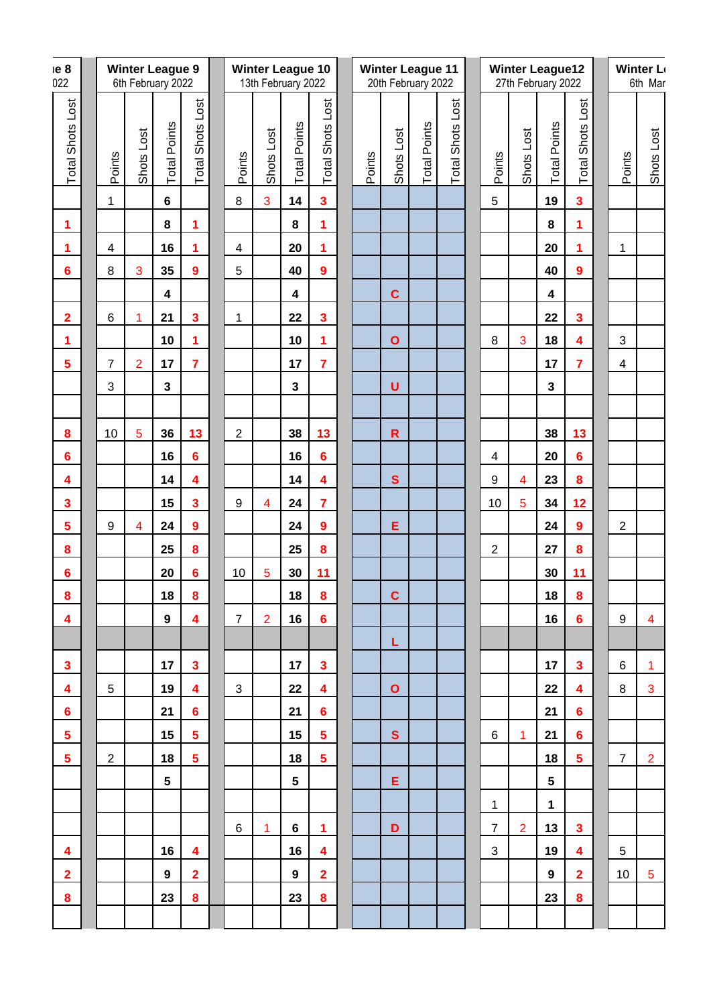| e8<br>022               | <b>Winter League 9</b><br>6th February 2022 |                  |                |                         |                         |  |                  |                         | <b>Winter League 10</b><br>13th February 2022 |                         | <b>Winter League 11</b><br>20th February 2022 |        |              |                     |                         | <b>Winter League12</b><br>27th February 2022 |                         |                         |                         |  | <b>Winter Le</b><br>6th Mar |                |  |
|-------------------------|---------------------------------------------|------------------|----------------|-------------------------|-------------------------|--|------------------|-------------------------|-----------------------------------------------|-------------------------|-----------------------------------------------|--------|--------------|---------------------|-------------------------|----------------------------------------------|-------------------------|-------------------------|-------------------------|--|-----------------------------|----------------|--|
| <b>Total Shots Lost</b> |                                             | Points           | Shots Lost     | <b>Total Points</b>     | <b>Total Shots Lost</b> |  | Points           | Shots Lost              | <b>Total Points</b>                           | <b>Total Shots Lost</b> |                                               | Points | Shots Lost   | <b>Total Points</b> | <b>Total Shots Lost</b> | Points                                       | Shots Lost              | <b>Total Points</b>     | <b>Total Shots Lost</b> |  | Points                      | Shots Lost     |  |
|                         |                                             | 1                |                | $6\phantom{a}$          |                         |  | $\,8\,$          | 3                       | 14                                            | $\overline{\mathbf{3}}$ |                                               |        |              |                     |                         | 5                                            |                         | 19                      | 3                       |  |                             |                |  |
| $\mathbf 1$             |                                             |                  |                | 8                       | 1                       |  |                  |                         | ${\bf 8}$                                     | 1                       |                                               |        |              |                     |                         |                                              |                         | 8                       | 1                       |  |                             |                |  |
| 1                       |                                             | $\overline{4}$   |                | 16                      | 1                       |  | $\overline{4}$   |                         | 20                                            | 1                       |                                               |        |              |                     |                         |                                              |                         | 20                      | 1                       |  | 1                           |                |  |
| $6\phantom{1}6$         |                                             | 8                | 3              | 35                      | $\boldsymbol{9}$        |  | 5                |                         | 40                                            | 9                       |                                               |        |              |                     |                         |                                              |                         | 40                      | $\overline{9}$          |  |                             |                |  |
|                         |                                             |                  |                | $\overline{\mathbf{4}}$ |                         |  |                  |                         | $\boldsymbol{4}$                              |                         |                                               |        | $\mathbf c$  |                     |                         |                                              |                         | $\boldsymbol{4}$        |                         |  |                             |                |  |
| $\mathbf{2}$            |                                             | $\,6\,$          | 1              | 21                      | 3                       |  | $\mathbf{1}$     |                         | 22                                            | $\overline{\mathbf{3}}$ |                                               |        |              |                     |                         |                                              |                         | 22                      | 3                       |  |                             |                |  |
| $\blacktriangleleft$    |                                             |                  |                | 10                      | 1                       |  |                  |                         | 10                                            | 1                       |                                               |        | $\mathbf{o}$ |                     |                         | 8                                            | 3                       | 18                      | 4                       |  | 3                           |                |  |
| $\overline{\mathbf{5}}$ |                                             | $\overline{7}$   | $\overline{2}$ | 17                      | $\overline{7}$          |  |                  |                         | 17                                            | $\overline{7}$          |                                               |        |              |                     |                         |                                              |                         | 17                      | $\overline{7}$          |  | $\overline{4}$              |                |  |
|                         |                                             | $\mathfrak{S}$   |                | $\overline{\mathbf{3}}$ |                         |  |                  |                         | $\mathbf{3}$                                  |                         |                                               |        | $\cup$       |                     |                         |                                              |                         | $\overline{\mathbf{3}}$ |                         |  |                             |                |  |
|                         |                                             |                  |                |                         |                         |  |                  |                         |                                               |                         |                                               |        |              |                     |                         |                                              |                         |                         |                         |  |                             |                |  |
| 8                       |                                             | 10               | $\overline{5}$ | 36                      | 13                      |  | $\overline{2}$   |                         | 38                                            | 13                      |                                               |        | $\mathbf R$  |                     |                         |                                              |                         | 38                      | 13                      |  |                             |                |  |
| $6\phantom{1}6$         |                                             |                  |                | 16                      | $6\phantom{a}$          |  |                  |                         | 16                                            | $6\phantom{a}$          |                                               |        |              |                     |                         | 4                                            |                         | 20                      | 6                       |  |                             |                |  |
| 4                       |                                             |                  |                | 14                      | 4                       |  |                  |                         | 14                                            | 4                       |                                               |        | $\mathbf{s}$ |                     |                         | 9                                            | $\overline{\mathbf{4}}$ | 23                      | 8                       |  |                             |                |  |
| $\overline{\mathbf{3}}$ |                                             |                  |                | 15                      | 3                       |  | $\boldsymbol{9}$ | $\overline{\mathbf{4}}$ | 24                                            | $\overline{7}$          |                                               |        |              |                     |                         | 10                                           | $\overline{5}$          | 34                      | 12                      |  |                             |                |  |
| $\overline{\mathbf{5}}$ |                                             | $\boldsymbol{9}$ | $\overline{4}$ | 24                      | $\overline{9}$          |  |                  |                         | 24                                            | $\overline{9}$          |                                               |        | E            |                     |                         |                                              |                         | 24                      | $\overline{9}$          |  | $\overline{2}$              |                |  |
| $\pmb{8}$               |                                             |                  |                | 25                      | 8                       |  |                  |                         | 25                                            | 8                       |                                               |        |              |                     |                         | $\overline{2}$                               |                         | 27                      | 8                       |  |                             |                |  |
| $6\phantom{1}6$         |                                             |                  |                | 20                      | 6                       |  | 10               | 5                       | 30                                            | 11                      |                                               |        |              |                     |                         |                                              |                         | 30                      | 11                      |  |                             |                |  |
| $\boldsymbol{8}$        |                                             |                  |                | 18                      | 8                       |  |                  |                         | 18                                            | $\pmb{8}$               |                                               |        | $\mathbf{C}$ |                     |                         |                                              |                         | 18                      | 8                       |  |                             |                |  |
| 4                       |                                             |                  |                | 9                       | 4                       |  | $\overline{7}$   | $\overline{2}$          | 16                                            | $6\phantom{1}$          |                                               |        |              |                     |                         |                                              |                         | 16                      | 6                       |  | 9                           | 4              |  |
|                         |                                             |                  |                |                         |                         |  |                  |                         |                                               |                         |                                               |        | L            |                     |                         |                                              |                         |                         |                         |  |                             |                |  |
| $\mathbf{3}$            |                                             |                  |                | 17                      | $\mathbf{3}$            |  |                  |                         | 17                                            | $\mathbf{3}$            |                                               |        |              |                     |                         |                                              |                         | 17                      | $\mathbf{3}$            |  | 6                           | $\mathbf{1}$   |  |
| 4                       |                                             | $\sqrt{5}$       |                | 19                      | 4                       |  | 3                |                         | 22                                            | 4                       |                                               |        | $\mathbf{o}$ |                     |                         |                                              |                         | 22                      | 4                       |  | 8                           | 3              |  |
| $6\phantom{1}$          |                                             |                  |                | 21                      | 6 <sup>1</sup>          |  |                  |                         | 21                                            | $6\phantom{1}$          |                                               |        |              |                     |                         |                                              |                         | 21                      | 6                       |  |                             |                |  |
| $\overline{\mathbf{5}}$ |                                             |                  |                | 15                      | $5\phantom{.0}$         |  |                  |                         | 15                                            | $\overline{\mathbf{5}}$ |                                               |        | $\mathbf{s}$ |                     |                         | 6                                            | 1                       | 21                      | 6                       |  |                             |                |  |
| $\overline{\mathbf{5}}$ |                                             | $\overline{c}$   |                | 18                      | 5 <sup>1</sup>          |  |                  |                         | 18                                            | 5                       |                                               |        |              |                     |                         |                                              |                         | 18                      | $5\phantom{.0}$         |  | $\overline{7}$              | $\overline{2}$ |  |
|                         |                                             |                  |                | $5\phantom{.0}$         |                         |  |                  |                         | $5\phantom{.0}$                               |                         |                                               |        | Е            |                     |                         |                                              |                         | $5\phantom{.0}$         |                         |  |                             |                |  |
|                         |                                             |                  |                |                         |                         |  |                  |                         |                                               |                         |                                               |        |              |                     |                         | 1                                            |                         | $\mathbf 1$             |                         |  |                             |                |  |
|                         |                                             |                  |                |                         |                         |  | 6                | 1                       | 6                                             | 1                       |                                               |        | D            |                     |                         | $\overline{7}$                               | $\overline{2}$          | 13                      | 3                       |  |                             |                |  |
| 4                       |                                             |                  |                | 16                      | 4                       |  |                  |                         | 16                                            | 4                       |                                               |        |              |                     |                         | 3                                            |                         | 19                      | 4                       |  | 5                           |                |  |
| $\overline{2}$          |                                             |                  |                | 9                       | $\mathbf{2}$            |  |                  |                         | 9                                             | $\overline{2}$          |                                               |        |              |                     |                         |                                              |                         | $9^{\circ}$             | $\mathbf{2}$            |  | 10 <sup>°</sup>             | $\overline{5}$ |  |
| 8                       |                                             |                  |                | 23                      | 8                       |  |                  |                         | 23                                            | 8                       |                                               |        |              |                     |                         |                                              |                         | 23                      | 8                       |  |                             |                |  |
|                         |                                             |                  |                |                         |                         |  |                  |                         |                                               |                         |                                               |        |              |                     |                         |                                              |                         |                         |                         |  |                             |                |  |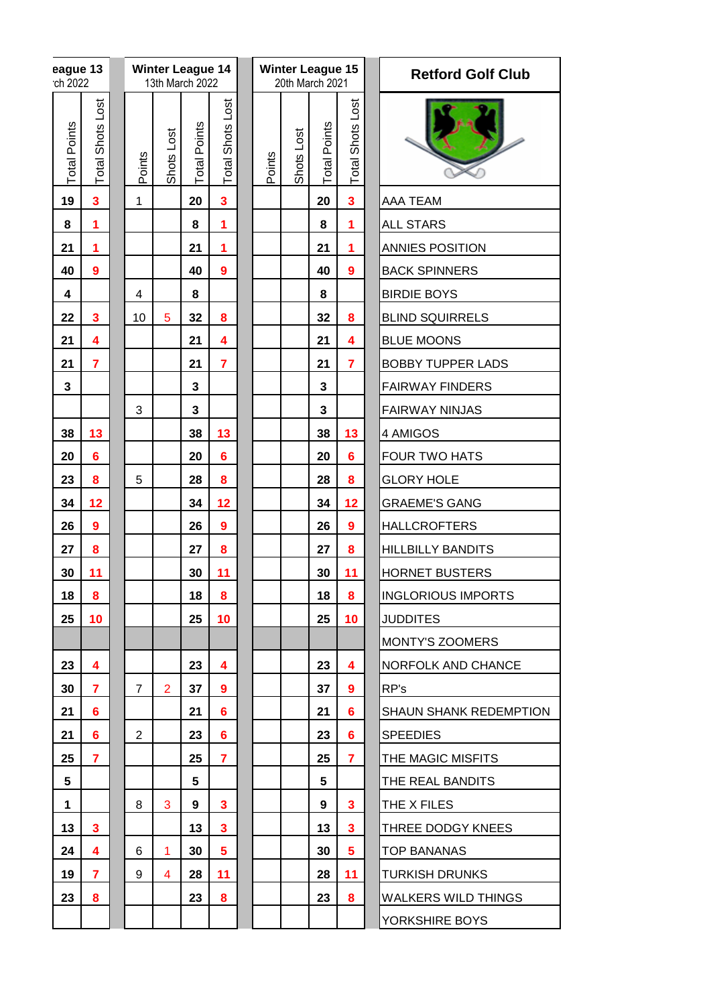|                         | eague 13<br>ch 2022 |                         |                |                | <b>Winter League 14</b><br>13th March 2022 |                         |        | <b>Winter League 15</b><br>20th March 2021 |                     |                         | <b>Retford Golf Club</b> |                               |  |  |
|-------------------------|---------------------|-------------------------|----------------|----------------|--------------------------------------------|-------------------------|--------|--------------------------------------------|---------------------|-------------------------|--------------------------|-------------------------------|--|--|
|                         | <b>Total Points</b> | <b>Total Shots Lost</b> | Points         | Shots Lost     | <b>Total Points</b>                        | <b>Total Shots Lost</b> | Points | Shots Lost                                 | <b>Total Points</b> | Shots Lost<br>Total     |                          |                               |  |  |
| 19                      | 3                   |                         | $\mathbf{1}$   |                | 20                                         | $\overline{\mathbf{3}}$ |        |                                            | 20                  | $\overline{\mathbf{3}}$ |                          | AAA TEAM                      |  |  |
| 8                       | 1                   |                         |                |                | 8                                          | 1                       |        |                                            | 8                   | 1                       |                          | <b>ALL STARS</b>              |  |  |
| 21                      | 1                   |                         |                |                | 21                                         | 1                       |        |                                            | 21                  | 1                       |                          | ANNIES POSITION               |  |  |
| 40                      | $\boldsymbol{9}$    |                         |                |                | 40                                         | $\boldsymbol{9}$        |        |                                            | 40                  | $\boldsymbol{9}$        |                          | <b>BACK SPINNERS</b>          |  |  |
| 4                       |                     |                         | $\overline{4}$ |                | 8                                          |                         |        |                                            | 8                   |                         |                          | <b>BIRDIE BOYS</b>            |  |  |
| 22                      | 3                   |                         | 10             | 5              | 32                                         | 8                       |        |                                            | 32                  | 8                       |                          | <b>BLIND SQUIRRELS</b>        |  |  |
| 21                      | 4                   |                         |                |                | 21                                         | 4                       |        |                                            | 21                  | 4                       |                          | <b>BLUE MOONS</b>             |  |  |
| 21                      | $\overline{7}$      |                         |                |                | 21                                         | $\overline{7}$          |        |                                            | 21                  | $\overline{7}$          |                          | <b>BOBBY TUPPER LADS</b>      |  |  |
| $\overline{\mathbf{3}}$ |                     |                         |                |                | $\mathbf{3}$                               |                         |        |                                            | 3                   |                         |                          | <b>FAIRWAY FINDERS</b>        |  |  |
|                         |                     |                         | 3              |                | $\mathbf{3}$                               |                         |        |                                            | 3                   |                         |                          | <b>FAIRWAY NINJAS</b>         |  |  |
| 38                      | 13                  |                         |                |                | 38                                         | 13                      |        |                                            | 38                  | 13                      |                          | 4 AMIGOS                      |  |  |
| 20                      | $6\phantom{1}6$     |                         |                |                | 20                                         | $6\phantom{a}$          |        |                                            | 20                  | $6\phantom{1}6$         |                          | FOUR TWO HATS                 |  |  |
| 23                      | 8                   |                         | 5              |                | 28                                         | 8                       |        |                                            | 28                  | 8                       |                          | <b>GLORY HOLE</b>             |  |  |
| 34                      | 12                  |                         |                |                | 34                                         | 12                      |        |                                            | 34                  | 12                      |                          | <b>GRAEME'S GANG</b>          |  |  |
| 26                      | $\boldsymbol{9}$    |                         |                |                | 26                                         | $\boldsymbol{9}$        |        |                                            | 26                  | $\boldsymbol{9}$        |                          | <b>HALLCROFTERS</b>           |  |  |
| 27                      | 8                   |                         |                |                | 27                                         | 8                       |        |                                            | 27                  | 8                       |                          | <b>HILLBILLY BANDITS</b>      |  |  |
| 30                      | 11                  |                         |                |                | 30                                         | 11                      |        |                                            | 30                  | 11                      |                          | <b>HORNET BUSTERS</b>         |  |  |
| 18                      | 8                   |                         |                |                | 18                                         | 8                       |        |                                            | 18                  | 8                       |                          | <b>INGLORIOUS IMPORTS</b>     |  |  |
| 25                      | 10                  |                         |                |                | 25                                         | 10                      |        |                                            | 25                  | 10                      |                          | <b>JUDDITES</b>               |  |  |
|                         |                     |                         |                |                |                                            |                         |        |                                            |                     |                         |                          | MONTY'S ZOOMERS               |  |  |
| 23                      | 4                   |                         |                |                | 23                                         | 4                       |        |                                            | 23                  | 4                       |                          | <b>NORFOLK AND CHANCE</b>     |  |  |
| 30                      | 7                   |                         | $\overline{7}$ | $\overline{2}$ | 37                                         | 9                       |        |                                            | 37                  | 9                       |                          | RP's                          |  |  |
| 21                      | 6                   |                         |                |                | 21                                         | 6                       |        |                                            | 21                  | 6                       |                          | <b>SHAUN SHANK REDEMPTION</b> |  |  |
| 21                      | 6                   |                         | $\overline{2}$ |                | 23                                         | 6                       |        |                                            | 23                  | 6                       |                          | <b>SPEEDIES</b>               |  |  |
| 25                      | $\overline{7}$      |                         |                |                | 25                                         | $\overline{7}$          |        |                                            | 25                  | $\overline{7}$          |                          | THE MAGIC MISFITS             |  |  |
| 5                       |                     |                         |                |                | 5                                          |                         |        |                                            | 5                   |                         |                          | THE REAL BANDITS              |  |  |
| 1                       |                     |                         | 8              | 3              | 9                                          | 3                       |        |                                            | 9                   | 3                       |                          | THE X FILES                   |  |  |
| 13                      | 3                   |                         |                |                | 13                                         | 3                       |        |                                            | 13                  | $\overline{\mathbf{3}}$ |                          | THREE DODGY KNEES             |  |  |
| 24                      | 4                   |                         | 6              | 1              | 30                                         | 5                       |        |                                            | 30                  | 5                       |                          | <b>TOP BANANAS</b>            |  |  |
| 19                      | 7                   |                         | 9              | 4              | 28                                         | 11                      |        |                                            | 28                  | 11                      |                          | <b>TURKISH DRUNKS</b>         |  |  |
| 23                      | 8                   |                         |                |                | 23                                         | 8                       |        |                                            | 23                  | 8                       |                          | <b>WALKERS WILD THINGS</b>    |  |  |
|                         |                     |                         |                |                |                                            |                         |        |                                            |                     |                         |                          | YORKSHIRE BOYS                |  |  |